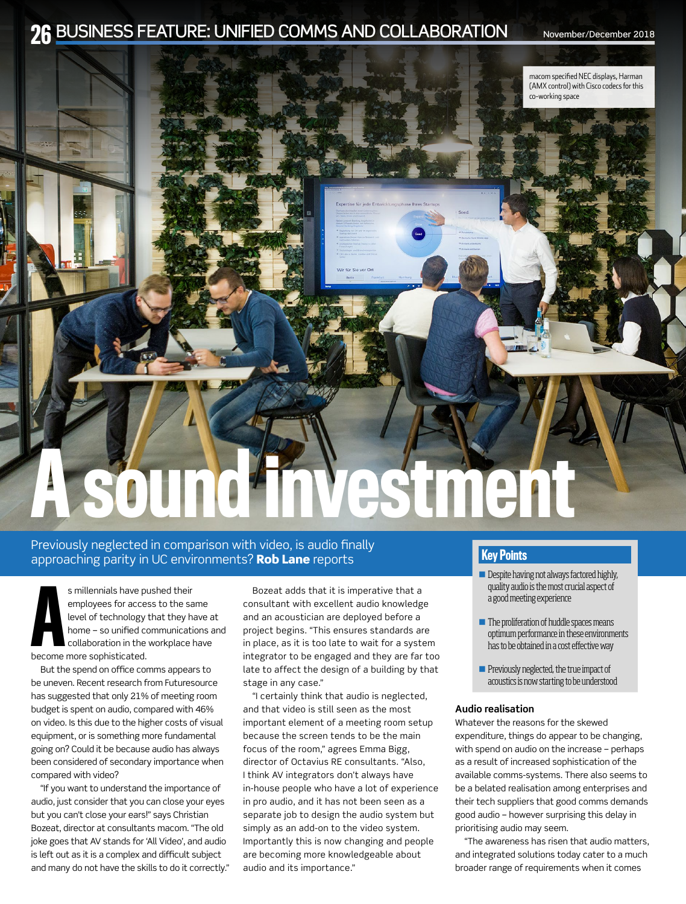# 26 BUSINESS FEATURE: UNIFIED COMMS AND COLLABORATION November/December 2018



### Previously neglected in comparison with video, is audio finally approaching parity in UC environments? Rob Lane reports

s millennials have p<br>
employees for acce<br>
level of technology<br>
home – so unified c<br>
collaboration in the<br>
become more sophisticated. s millennials have pushed their employees for access to the same level of technology that they have at home – so unified communications and collaboration in the workplace have

But the spend on office comms appears to be uneven. Recent research from Futuresource has suggested that only 21% of meeting room budget is spent on audio, compared with 46% on video. Is this due to the higher costs of visual equipment, or is something more fundamental going on? Could it be because audio has always been considered of secondary importance when compared with video?

"If you want to understand the importance of audio, just consider that you can close your eyes but you can't close your ears!" says Christian Bozeat, director at consultants macom. "The old joke goes that AV stands for 'All Video', and audio is left out as it is a complex and difficult subject and many do not have the skills to do it correctly."

Bozeat adds that it is imperative that a consultant with excellent audio knowledge and an acoustician are deployed before a project begins. "This ensures standards are in place, as it is too late to wait for a system integrator to be engaged and they are far too late to affect the design of a building by that stage in any case."

"I certainly think that audio is neglected, and that video is still seen as the most important element of a meeting room setup because the screen tends to be the main focus of the room," agrees Emma Bigg, director of Octavius RE consultants. "Also, I think AV integrators don't always have in-house people who have a lot of experience in pro audio, and it has not been seen as a separate job to design the audio system but simply as an add-on to the video system. Importantly this is now changing and people are becoming more knowledgeable about audio and its importance."

## Key Points

- $\blacksquare$  Despite having not always factored highly, quality audio is the most crucial aspect of a good meeting experience
- $\blacksquare$  The proliferation of huddle spaces means optimum performance in these environments has to be obtained in a cost effective way
- **n** Previously neglected, the true impact of acoustics is now starting to be understood

### **Audio realisation**

Whatever the reasons for the skewed expenditure, things do appear to be changing, with spend on audio on the increase – perhaps as a result of increased sophistication of the available comms-systems. There also seems to be a belated realisation among enterprises and their tech suppliers that good comms demands good audio – however surprising this delay in prioritising audio may seem.

"The awareness has risen that audio matters, and integrated solutions today cater to a much broader range of requirements when it comes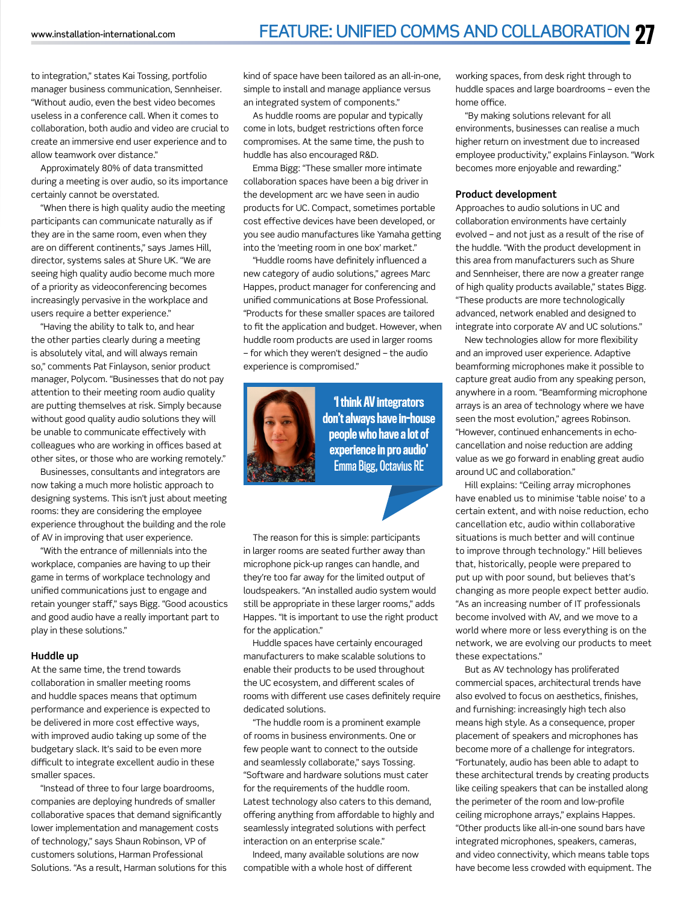to integration," states Kai Tossing, portfolio manager business communication, Sennheiser. "Without audio, even the best video becomes useless in a conference call. When it comes to collaboration, both audio and video are crucial to create an immersive end user experience and to allow teamwork over distance."

Approximately 80% of data transmitted during a meeting is over audio, so its importance certainly cannot be overstated.

"When there is high quality audio the meeting participants can communicate naturally as if they are in the same room, even when they are on different continents," says James Hill, director, systems sales at Shure UK. "We are seeing high quality audio become much more of a priority as videoconferencing becomes increasingly pervasive in the workplace and users require a better experience."

"Having the ability to talk to, and hear the other parties clearly during a meeting is absolutely vital, and will always remain so," comments Pat Finlayson, senior product manager, Polycom. "Businesses that do not pay attention to their meeting room audio quality are putting themselves at risk. Simply because without good quality audio solutions they will be unable to communicate effectively with colleagues who are working in offices based at other sites, or those who are working remotely."

Businesses, consultants and integrators are now taking a much more holistic approach to designing systems. This isn't just about meeting rooms: they are considering the employee experience throughout the building and the role of AV in improving that user experience.

"With the entrance of millennials into the workplace, companies are having to up their game in terms of workplace technology and unified communications just to engage and retain younger staff," says Bigg. "Good acoustics and good audio have a really important part to play in these solutions."

#### **Huddle up**

At the same time, the trend towards collaboration in smaller meeting rooms and huddle spaces means that optimum performance and experience is expected to be delivered in more cost effective ways, with improved audio taking up some of the budgetary slack. It's said to be even more difficult to integrate excellent audio in these smaller spaces.

"Instead of three to four large boardrooms, companies are deploying hundreds of smaller collaborative spaces that demand significantly lower implementation and management costs of technology," says Shaun Robinson, VP of customers solutions, Harman Professional Solutions. "As a result, Harman solutions for this kind of space have been tailored as an all-in-one, simple to install and manage appliance versus an integrated system of components."

As huddle rooms are popular and typically come in lots, budget restrictions often force compromises. At the same time, the push to huddle has also encouraged R&D.

Emma Bigg: "These smaller more intimate collaboration spaces have been a big driver in the development arc we have seen in audio products for UC. Compact, sometimes portable cost effective devices have been developed, or you see audio manufactures like Yamaha getting into the 'meeting room in one box' market."

"Huddle rooms have definitely influenced a new category of audio solutions," agrees Marc Happes, product manager for conferencing and unified communications at Bose Professional. "Products for these smaller spaces are tailored to fit the application and budget. However, when huddle room products are used in larger rooms – for which they weren't designed – the audio experience is compromised."



'I think AV integrators don't always have in-house people who have a lot of experience in pro audio' Emma Bigg, Octavius RE

The reason for this is simple: participants in larger rooms are seated further away than microphone pick-up ranges can handle, and they're too far away for the limited output of loudspeakers. "An installed audio system would still be appropriate in these larger rooms," adds Happes. "It is important to use the right product for the application."

Huddle spaces have certainly encouraged manufacturers to make scalable solutions to enable their products to be used throughout the UC ecosystem, and different scales of rooms with different use cases definitely require dedicated solutions.

"The huddle room is a prominent example of rooms in business environments. One or few people want to connect to the outside and seamlessly collaborate," says Tossing. "Software and hardware solutions must cater for the requirements of the huddle room. Latest technology also caters to this demand, offering anything from affordable to highly and seamlessly integrated solutions with perfect interaction on an enterprise scale."

Indeed, many available solutions are now compatible with a whole host of different

working spaces, from desk right through to huddle spaces and large boardrooms – even the home office.

"By making solutions relevant for all environments, businesses can realise a much higher return on investment due to increased employee productivity," explains Finlayson. "Work becomes more enjoyable and rewarding."

#### **Product development**

Approaches to audio solutions in UC and collaboration environments have certainly evolved – and not just as a result of the rise of the huddle. "With the product development in this area from manufacturers such as Shure and Sennheiser, there are now a greater range of high quality products available," states Bigg. "These products are more technologically advanced, network enabled and designed to integrate into corporate AV and UC solutions."

New technologies allow for more flexibility and an improved user experience. Adaptive beamforming microphones make it possible to capture great audio from any speaking person, anywhere in a room. "Beamforming microphone arrays is an area of technology where we have seen the most evolution," agrees Robinson. "However, continued enhancements in echocancellation and noise reduction are adding value as we go forward in enabling great audio around UC and collaboration."

Hill explains: "Ceiling array microphones have enabled us to minimise 'table noise' to a certain extent, and with noise reduction, echo cancellation etc, audio within collaborative situations is much better and will continue to improve through technology." Hill believes that, historically, people were prepared to put up with poor sound, but believes that's changing as more people expect better audio. "As an increasing number of IT professionals become involved with AV, and we move to a world where more or less everything is on the network, we are evolving our products to meet these expectations."

But as AV technology has proliferated commercial spaces, architectural trends have also evolved to focus on aesthetics, finishes, and furnishing: increasingly high tech also means high style. As a consequence, proper placement of speakers and microphones has become more of a challenge for integrators. "Fortunately, audio has been able to adapt to these architectural trends by creating products like ceiling speakers that can be installed along the perimeter of the room and low-profile ceiling microphone arrays," explains Happes. "Other products like all-in-one sound bars have integrated microphones, speakers, cameras, and video connectivity, which means table tops have become less crowded with equipment. The